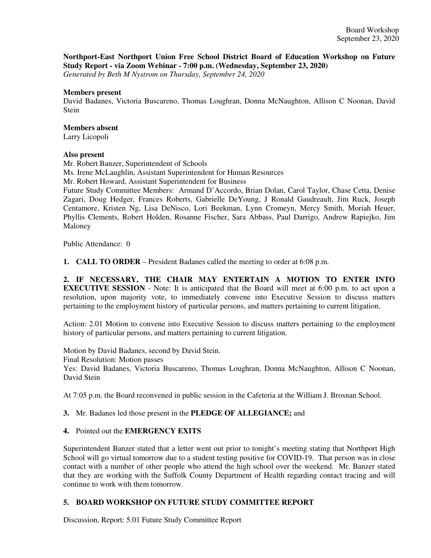**Northport-East Northport Union Free School District Board of Education Workshop on Future Study Report - via Zoom Webinar - 7:00 p.m. (Wednesday, September 23, 2020)**

*Generated by Beth M Nystrom on Thursday, September 24, 2020*

#### **Members present**

David Badanes, Victoria Buscareno, Thomas Loughran, Donna McNaughton, Allison C Noonan, David **Stein** 

# **Members absent**

Larry Licopoli

### **Also present**

Mr. Robert Banzer, Superintendent of Schools Ms. Irene McLaughlin, Assistant Superintendent for Human Resources

Mr. Robert Howard, Assistant Superintendent for Business

Future Study Committee Members: Armand D'Accordo, Brian Dolan, Carol Taylor, Chase Cetta, Denise Zagari, Doug Hedger, Frances Roberts, Gabrielle DeYoung, J Ronald Gaudreault, Jim Ruck, Joseph Centamore, Kristen Ng, Lisa DeNisco, Lori Beekman, Lynn Cromeyn, Mercy Smith, Moriah Heuer, Phyllis Clements, Robert Holden, Rosanne Fischer, Sara Abbass, Paul Darrigo, Andrew Rapiejko, Jim Maloney

Public Attendance: 0

**1. CALL TO ORDER** – President Badanes called the meeting to order at 6:08 p.m.

**2. IF NECESSARY, THE CHAIR MAY ENTERTAIN A MOTION TO ENTER INTO EXECUTIVE SESSION** - Note: It is anticipated that the Board will meet at 6:00 p.m. to act upon a resolution, upon majority vote, to immediately convene into Executive Session to discuss matters pertaining to the employment history of particular persons, and matters pertaining to current litigation.

Action: 2.01 Motion to convene into Executive Session to discuss matters pertaining to the employment history of particular persons, and matters pertaining to current litigation.

Motion by David Badanes, second by David Stein.

Final Resolution: Motion passes

Yes: David Badanes, Victoria Buscareno, Thomas Loughran, Donna McNaughton, Allison C Noonan, David Stein

At 7:05 p.m. the Board reconvened in public session in the Cafeteria at the William J. Brosnan School.

## **3.** Mr. Badanes led those present in the **PLEDGE OF ALLEGIANCE;** and

## **4.** Pointed out the **EMERGENCY EXITS**

Superintendent Banzer stated that a letter went out prior to tonight's meeting stating that Northport High School will go virtual tomorrow due to a student testing positive for COVID-19. That person was in close contact with a number of other people who attend the high school over the weekend. Mr. Banzer stated that they are working with the Suffolk County Department of Health regarding contact tracing and will continue to work with them tomorrow.

## **5. BOARD WORKSHOP ON FUTURE STUDY COMMITTEE REPORT**

Discussion, Report: 5.01 Future Study Committee Report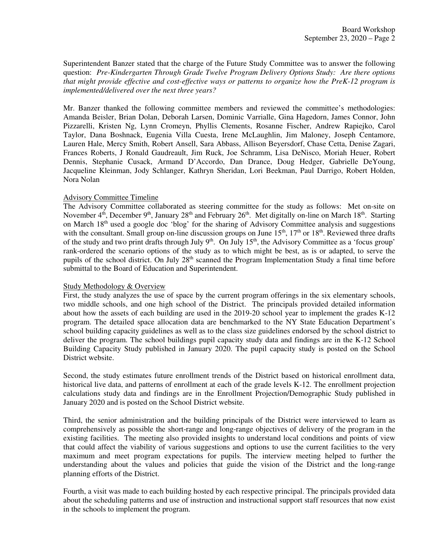Superintendent Banzer stated that the charge of the Future Study Committee was to answer the following question: *Pre-Kindergarten Through Grade Twelve Program Delivery Options Study: Are there options that might provide effective and cost-effective ways or patterns to organize how the PreK-12 program is implemented/delivered over the next three years?*

Mr. Banzer thanked the following committee members and reviewed the committee's methodologies: Amanda Beisler, Brian Dolan, Deborah Larsen, Dominic Varrialle, Gina Hagedorn, James Connor, John Pizzarelli, Kristen Ng, Lynn Cromeyn, Phyllis Clements, Rosanne Fischer, Andrew Rapiejko, Carol Taylor, Dana Boshnack, Eugenia Villa Cuesta, Irene McLaughlin, Jim Maloney, Joseph Centamore, Lauren Hale, Mercy Smith, Robert Ansell, Sara Abbass, Allison Beyersdorf, Chase Cetta, Denise Zagari, Frances Roberts, J Ronald Gaudreault, Jim Ruck, Joe Schramm, Lisa DeNisco, Moriah Heuer, Robert Dennis, Stephanie Cusack, Armand D'Accordo, Dan Drance, Doug Hedger, Gabrielle DeYoung, Jacqueline Kleinman, Jody Schlanger, Kathryn Sheridan, Lori Beekman, Paul Darrigo, Robert Holden, Nora Nolan

### Advisory Committee Timeline

The Advisory Committee collaborated as steering committee for the study as follows: Met on-site on November  $4<sup>th</sup>$ , December  $9<sup>th</sup>$ , January  $28<sup>th</sup>$  and February  $26<sup>th</sup>$ . Met digitally on-line on March  $18<sup>th</sup>$ . Starting on March 18th used a google doc 'blog' for the sharing of Advisory Committee analysis and suggestions with the consultant. Small group on-line discussion groups on June  $15<sup>th</sup>$ ,  $17<sup>th</sup>$  or  $18<sup>th</sup>$ . Reviewed three drafts of the study and two print drafts through July 9<sup>th</sup>. On July 15<sup>th</sup>, the Advisory Committee as a 'focus group' rank-ordered the scenario options of the study as to which might be best, as is or adapted, to serve the pupils of the school district. On July 28<sup>th</sup> scanned the Program Implementation Study a final time before submittal to the Board of Education and Superintendent.

#### Study Methodology & Overview

First, the study analyzes the use of space by the current program offerings in the six elementary schools, two middle schools, and one high school of the District. The principals provided detailed information about how the assets of each building are used in the 2019-20 school year to implement the grades K-12 program. The detailed space allocation data are benchmarked to the NY State Education Department's school building capacity guidelines as well as to the class size guidelines endorsed by the school district to deliver the program. The school buildings pupil capacity study data and findings are in the K-12 School Building Capacity Study published in January 2020. The pupil capacity study is posted on the School District website.

Second, the study estimates future enrollment trends of the District based on historical enrollment data, historical live data, and patterns of enrollment at each of the grade levels K-12. The enrollment projection calculations study data and findings are in the Enrollment Projection/Demographic Study published in January 2020 and is posted on the School District website.

Third, the senior administration and the building principals of the District were interviewed to learn as comprehensively as possible the short-range and long-range objectives of delivery of the program in the existing facilities. The meeting also provided insights to understand local conditions and points of view that could affect the viability of various suggestions and options to use the current facilities to the very maximum and meet program expectations for pupils. The interview meeting helped to further the understanding about the values and policies that guide the vision of the District and the long-range planning efforts of the District.

Fourth, a visit was made to each building hosted by each respective principal. The principals provided data about the scheduling patterns and use of instruction and instructional support staff resources that now exist in the schools to implement the program.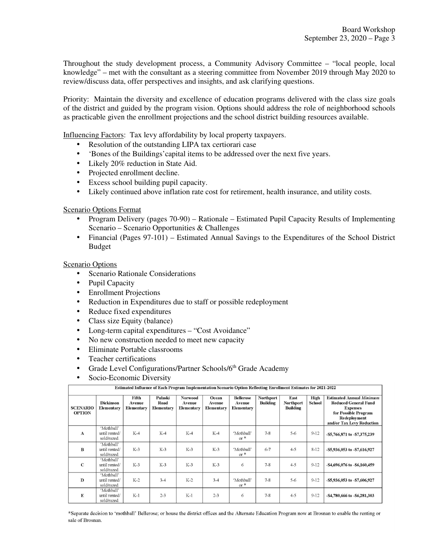Throughout the study development process, a Community Advisory Committee – "local people, local knowledge" – met with the consultant as a steering committee from November 2019 through May 2020 to review/discuss data, offer perspectives and insights, and ask clarifying questions.

Priority: Maintain the diversity and excellence of education programs delivered with the class size goals of the district and guided by the program vision. Options should address the role of neighborhood schools as practicable given the enrollment projections and the school district building resources available.

Influencing Factors: Tax levy affordability by local property taxpayers.

- Resolution of the outstanding LIPA tax certiorari case
- 'Bones of the Buildings'capital items to be addressed over the next five years.
- Likely 20% reduction in State Aid.
- Projected enrollment decline.
- Excess school building pupil capacity.
- Likely continued above inflation rate cost for retirement, health insurance, and utility costs.

### Scenario Options Format

- Program Delivery (pages 70-90) Rationale Estimated Pupil Capacity Results of Implementing Scenario – Scenario Opportunities & Challenges
- Financial (Pages 97-101) Estimated Annual Savings to the Expenditures of the School District Budget

#### Scenario Options

- Scenario Rationale Considerations
- Pupil Capacity
- Enrollment Projections
- Reduction in Expenditures due to staff or possible redeployment
- Reduce fixed expenditures
- Class size Equity (balance)
- Long-term capital expenditures "Cost Avoidance"
- No new construction needed to meet new capacity
- Eliminate Portable classrooms
- Teacher certifications
- Grade Level Configurations/Partner Schools/6<sup>th</sup> Grade Academy
- Socio-Economic Diversity

| <b>SCENARIO</b><br><b>OPTION</b> | <b>Dickinson</b><br>Elementary             | Fifth<br>Avenue<br>Elementary | Pulaski<br>Road<br>Elementary | <b>Norwood</b><br>Avenue<br>Elementary | Ocean<br>Avenue<br>Elementary | <b>Bellerose</b><br>Avenue<br>Elementary | Northport<br><b>Building</b> | East<br><b>Northport</b><br><b>Building</b> | High<br>School | <b>Estimated Annual Minimum</b><br><b>Reduced General Fund</b><br><b>Expenses</b><br>for Possible Program<br>Redeployment<br>and/or Tax Levy Reduction |
|----------------------------------|--------------------------------------------|-------------------------------|-------------------------------|----------------------------------------|-------------------------------|------------------------------------------|------------------------------|---------------------------------------------|----------------|--------------------------------------------------------------------------------------------------------------------------------------------------------|
| A                                | 'Mothball'<br>until rented/<br>sold/razed. | $K-4$                         | $K-4$                         | $K-4$                                  | $K-4$                         | 'Mothball'<br>$or$ *                     | $7 - 8$                      | $5-6$                                       | $9 - 12$       | -\$5,766,871 to -\$7,375,239                                                                                                                           |
| $\bf{B}$                         | 'Mothball'<br>until rented/<br>sold/razed. | $K-3$                         | $K-3$                         | $K-3$                                  | $K-3$                         | 'Mothball'<br>$or$ *                     | $6 - 7$                      | $4 - 5$                                     | $8-12$         | -\$5,936,053 to -\$7,616,927                                                                                                                           |
| $\mathbf C$                      | 'Mothball'<br>until rented/<br>sold/razed. | $K-3$                         | $K-3$                         | $K-3$                                  | $K-3$                         | 6                                        | $7 - 8$                      | $4 - 5$                                     | $9 - 12$       | -\$4,696,076 to -\$6,160,459                                                                                                                           |
| D                                | 'Mothball'<br>until rented/<br>sold/razed. | $K-2$                         | $3 - 4$                       | $K-2$                                  | $3 - 4$                       | 'Mothball'<br>$or$ <sup>*</sup>          | $7 - 8$                      | $5-6$                                       | $9-12$         | -\$5,936,053 to -\$7,606,927                                                                                                                           |
| $\mathbf E$                      | 'Mothball'<br>until rented/<br>sold/razed. | $K-1$                         | $2 - 3$                       | $K-1$                                  | $2 - 3$                       | 6                                        | $7 - 8$                      | $4 - 5$                                     | $9 - 12$       | -\$4,780,666 to -\$6,281,303                                                                                                                           |

Estimated Influence of Each Program Implementation Scenario Option Reflecting Enrollment Estimates for 2021-2022

\*Separate decision to 'mothball' Bellerose; or house the district offices and the Alternate Education Program now at Brosnan to enable the renting or sale of Brosnan.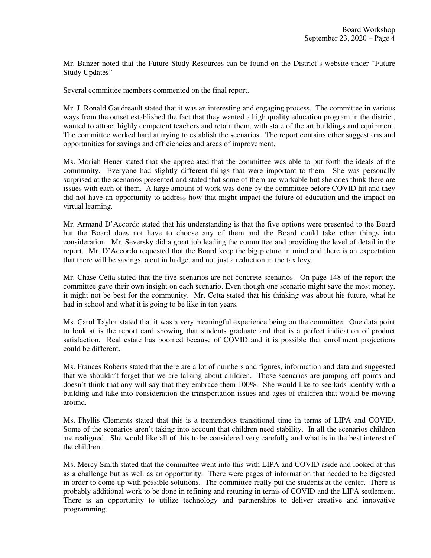Mr. Banzer noted that the Future Study Resources can be found on the District's website under "Future Study Updates"

Several committee members commented on the final report.

Mr. J. Ronald Gaudreault stated that it was an interesting and engaging process. The committee in various ways from the outset established the fact that they wanted a high quality education program in the district, wanted to attract highly competent teachers and retain them, with state of the art buildings and equipment. The committee worked hard at trying to establish the scenarios. The report contains other suggestions and opportunities for savings and efficiencies and areas of improvement.

Ms. Moriah Heuer stated that she appreciated that the committee was able to put forth the ideals of the community. Everyone had slightly different things that were important to them. She was personally surprised at the scenarios presented and stated that some of them are workable but she does think there are issues with each of them. A large amount of work was done by the committee before COVID hit and they did not have an opportunity to address how that might impact the future of education and the impact on virtual learning.

Mr. Armand D'Accordo stated that his understanding is that the five options were presented to the Board but the Board does not have to choose any of them and the Board could take other things into consideration. Mr. Seversky did a great job leading the committee and providing the level of detail in the report. Mr. D'Accordo requested that the Board keep the big picture in mind and there is an expectation that there will be savings, a cut in budget and not just a reduction in the tax levy.

Mr. Chase Cetta stated that the five scenarios are not concrete scenarios. On page 148 of the report the committee gave their own insight on each scenario. Even though one scenario might save the most money, it might not be best for the community. Mr. Cetta stated that his thinking was about his future, what he had in school and what it is going to be like in ten years.

Ms. Carol Taylor stated that it was a very meaningful experience being on the committee. One data point to look at is the report card showing that students graduate and that is a perfect indication of product satisfaction. Real estate has boomed because of COVID and it is possible that enrollment projections could be different.

Ms. Frances Roberts stated that there are a lot of numbers and figures, information and data and suggested that we shouldn't forget that we are talking about children. Those scenarios are jumping off points and doesn't think that any will say that they embrace them 100%. She would like to see kids identify with a building and take into consideration the transportation issues and ages of children that would be moving around.

Ms. Phyllis Clements stated that this is a tremendous transitional time in terms of LIPA and COVID. Some of the scenarios aren't taking into account that children need stability. In all the scenarios children are realigned. She would like all of this to be considered very carefully and what is in the best interest of the children.

Ms. Mercy Smith stated that the committee went into this with LIPA and COVID aside and looked at this as a challenge but as well as an opportunity. There were pages of information that needed to be digested in order to come up with possible solutions. The committee really put the students at the center. There is probably additional work to be done in refining and retuning in terms of COVID and the LIPA settlement. There is an opportunity to utilize technology and partnerships to deliver creative and innovative programming.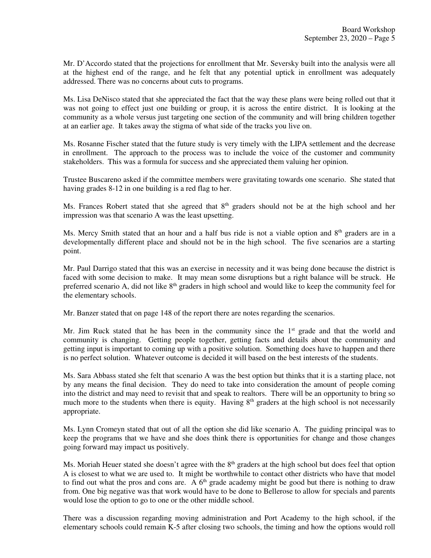Mr. D'Accordo stated that the projections for enrollment that Mr. Seversky built into the analysis were all at the highest end of the range, and he felt that any potential uptick in enrollment was adequately addressed. There was no concerns about cuts to programs.

Ms. Lisa DeNisco stated that she appreciated the fact that the way these plans were being rolled out that it was not going to effect just one building or group, it is across the entire district. It is looking at the community as a whole versus just targeting one section of the community and will bring children together at an earlier age. It takes away the stigma of what side of the tracks you live on.

Ms. Rosanne Fischer stated that the future study is very timely with the LIPA settlement and the decrease in enrollment. The approach to the process was to include the voice of the customer and community stakeholders. This was a formula for success and she appreciated them valuing her opinion.

Trustee Buscareno asked if the committee members were gravitating towards one scenario. She stated that having grades 8-12 in one building is a red flag to her.

Ms. Frances Robert stated that she agreed that  $8<sup>th</sup>$  graders should not be at the high school and her impression was that scenario A was the least upsetting.

Ms. Mercy Smith stated that an hour and a half bus ride is not a viable option and 8<sup>th</sup> graders are in a developmentally different place and should not be in the high school. The five scenarios are a starting point.

Mr. Paul Darrigo stated that this was an exercise in necessity and it was being done because the district is faced with some decision to make. It may mean some disruptions but a right balance will be struck. He preferred scenario A, did not like 8<sup>th</sup> graders in high school and would like to keep the community feel for the elementary schools.

Mr. Banzer stated that on page 148 of the report there are notes regarding the scenarios.

Mr. Jim Ruck stated that he has been in the community since the  $1<sup>st</sup>$  grade and that the world and community is changing. Getting people together, getting facts and details about the community and getting input is important to coming up with a positive solution. Something does have to happen and there is no perfect solution. Whatever outcome is decided it will based on the best interests of the students.

Ms. Sara Abbass stated she felt that scenario A was the best option but thinks that it is a starting place, not by any means the final decision. They do need to take into consideration the amount of people coming into the district and may need to revisit that and speak to realtors. There will be an opportunity to bring so much more to the students when there is equity. Having  $8<sup>th</sup>$  graders at the high school is not necessarily appropriate.

Ms. Lynn Cromeyn stated that out of all the option she did like scenario A. The guiding principal was to keep the programs that we have and she does think there is opportunities for change and those changes going forward may impact us positively.

Ms. Moriah Heuer stated she doesn't agree with the 8<sup>th</sup> graders at the high school but does feel that option A is closest to what we are used to. It might be worthwhile to contact other districts who have that model to find out what the pros and cons are. A  $6<sup>th</sup>$  grade academy might be good but there is nothing to draw from. One big negative was that work would have to be done to Bellerose to allow for specials and parents would lose the option to go to one or the other middle school.

There was a discussion regarding moving administration and Port Academy to the high school, if the elementary schools could remain K-5 after closing two schools, the timing and how the options would roll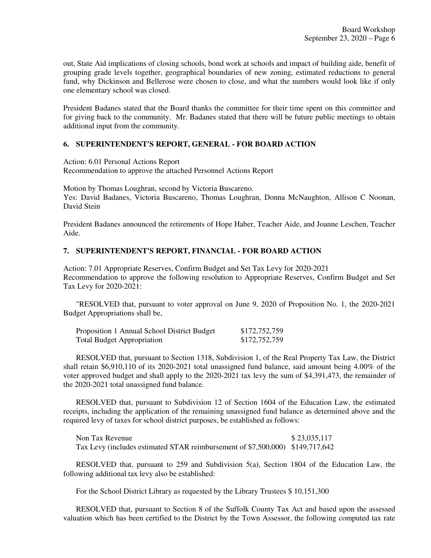out, State Aid implications of closing schools, bond work at schools and impact of building aide, benefit of grouping grade levels together, geographical boundaries of new zoning, estimated reductions to general fund, why Dickinson and Bellerose were chosen to close, and what the numbers would look like if only one elementary school was closed.

President Badanes stated that the Board thanks the committee for their time spent on this committee and for giving back to the community. Mr. Badanes stated that there will be future public meetings to obtain additional input from the community.

## **6. SUPERINTENDENT'S REPORT, GENERAL - FOR BOARD ACTION**

Action: 6.01 Personal Actions Report

Recommendation to approve the attached Personnel Actions Report

Motion by Thomas Loughran, second by Victoria Buscareno. Yes: David Badanes, Victoria Buscareno, Thomas Loughran, Donna McNaughton, Allison C Noonan, David Stein

President Badanes announced the retirements of Hope Haber, Teacher Aide, and Joanne Leschen, Teacher Aide.

### **7. SUPERINTENDENT'S REPORT, FINANCIAL - FOR BOARD ACTION**

Action: 7.01 Appropriate Reserves, Confirm Budget and Set Tax Levy for 2020-2021 Recommendation to approve the following resolution to Appropriate Reserves, Confirm Budget and Set Tax Levy for 2020-2021:

 "RESOLVED that, pursuant to voter approval on June 9, 2020 of Proposition No. 1, the 2020-2021 Budget Appropriations shall be,

| Proposition 1 Annual School District Budget | \$172,752,759 |
|---------------------------------------------|---------------|
| <b>Total Budget Appropriation</b>           | \$172,752,759 |

 RESOLVED that, pursuant to Section 1318, Subdivision 1, of the Real Property Tax Law, the District shall retain \$6,910,110 of its 2020-2021 total unassigned fund balance, said amount being 4.00% of the voter approved budget and shall apply to the 2020-2021 tax levy the sum of \$4,391,473, the remainder of the 2020-2021 total unassigned fund balance.

 RESOLVED that, pursuant to Subdivision 12 of Section 1604 of the Education Law, the estimated receipts, including the application of the remaining unassigned fund balance as determined above and the required levy of taxes for school district purposes, be established as follows:

Non Tax Revenue \$ 23,035,117 Tax Levy (includes estimated STAR reimbursement of \$7,500,000) \$149,717,642

 RESOLVED that, pursuant to 259 and Subdivision 5(a), Section 1804 of the Education Law, the following additional tax levy also be established:

For the School District Library as requested by the Library Trustees \$ 10,151,300

 RESOLVED that, pursuant to Section 8 of the Suffolk County Tax Act and based upon the assessed valuation which has been certified to the District by the Town Assessor, the following computed tax rate